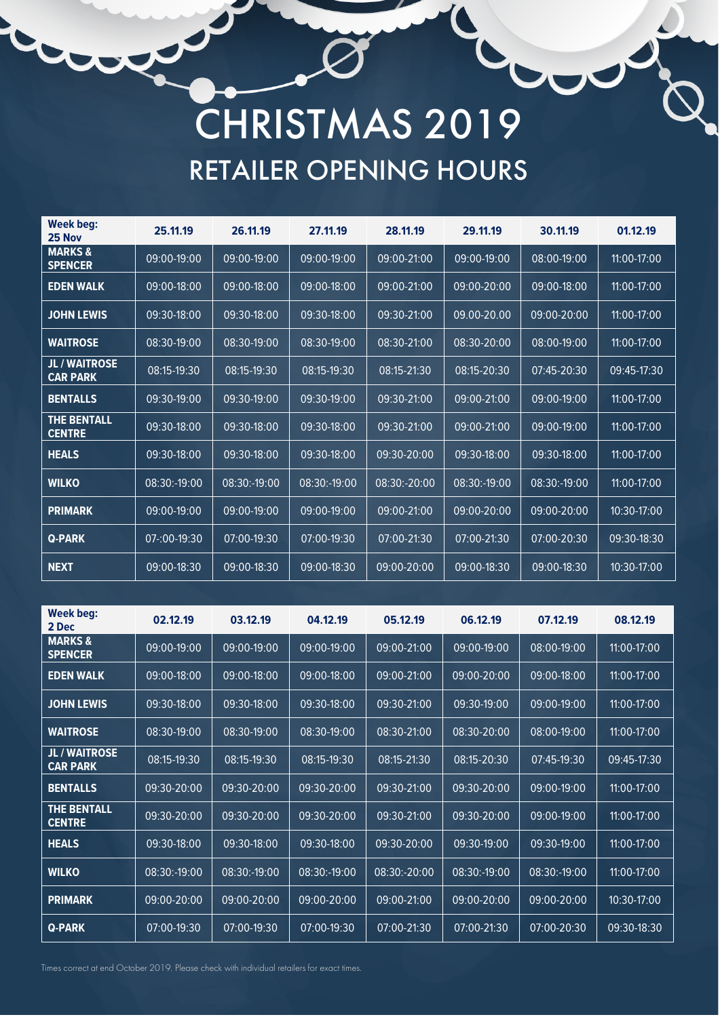## CHRISTMAS 2019 RETAILER OPENING HOURS

| Week beg:<br>25 Nov                     | 25.11.19          | 26.11.19     | 27.11.19     | 28.11.19     | 29.11.19        | 30.11.19     | 01.12.19      |
|-----------------------------------------|-------------------|--------------|--------------|--------------|-----------------|--------------|---------------|
| <b>MARKS &amp;</b><br><b>SPENCER</b>    | 09:00-19:00       | 09:00-19:00  | 09:00-19:00  | 09:00-21:00  | 09:00-19:00     | 08:00-19:00  | $11:00-17:00$ |
| <b>EDEN WALK</b>                        | 09:00-18:00       | 09:00-18:00  | 09:00-18:00  | 09:00-21:00  | 09:00-20:00     | 09:00-18:00  | 11:00-17:00   |
| <b>JOHN LEWIS</b>                       | 09:30-18:00       | 09:30-18:00  | 09:30-18:00  | 09:30-21:00  | 09.00-20.00     | 09:00-20:00  | $11:00-17:00$ |
| <b>WAITROSE</b>                         | 08:30-19:00       | 08:30-19:00  | 08:30-19:00  | 08:30-21:00  | 08:30-20:00     | 08:00-19:00  | $11:00-17:00$ |
| <b>JL / WAITROSE</b><br><b>CAR PARK</b> | 08:15-19:30       | 08:15-19:30  | 08:15-19:30  | 08:15-21:30  | 08:15-20:30     | 07:45-20:30  | 09:45-17:30   |
| <b>BENTALLS</b>                         | 09:30-19:00       | 09:30-19:00  | 09:30-19:00  | 09:30-21:00  | 09:00-21:00     | 09:00-19:00  | $11:00-17:00$ |
| <b>THE BENTALL</b><br><b>CENTRE</b>     | 09:30-18:00       | 09:30-18:00  | 09:30-18:00  | 09:30-21:00  | 09:00-21:00     | 09:00-19:00  | 11:00-17:00   |
| <b>HEALS</b>                            | 09:30-18:00       | 09:30-18:00  | 09:30-18:00  | 09:30-20:00  | 09:30-18:00     | 09:30-18:00  | 11:00-17:00   |
| <b>WILKO</b>                            | 08:30:-19:00      | 08:30:-19:00 | 08:30:-19:00 | 08:30:-20:00 | 08:30:-19:00    | 08:30:-19:00 | $11:00-17:00$ |
| <b>PRIMARK</b>                          | 09:00-19:00       | 09:00-19:00  | 09:00-19:00  | 09:00-21:00  | 09:00-20:00     | 09:00-20:00  | 10:30-17:00   |
| <b>Q-PARK</b>                           | $07 - 00 - 19:30$ | 07:00-19:30  | 07:00-19:30  | 07:00-21:30  | $07:00 - 21:30$ | 07:00-20:30  | 09:30-18:30   |
| <b>NEXT</b>                             | 09:00-18:30       | 09:00-18:30  | 09:00-18:30  | 09:00-20:00  | 09:00-18:30     | 09:00-18:30  | 10:30-17:00   |

| Week beg:<br>2 Dec                      | 02.12.19     | 03.12.19     | 04.12.19     | 05.12.19     | 06.12.19        | 07.12.19        | 08.12.19        |
|-----------------------------------------|--------------|--------------|--------------|--------------|-----------------|-----------------|-----------------|
| <b>MARKS &amp;</b><br><b>SPENCER</b>    | 09:00-19:00  | 09:00-19:00  | 09:00-19:00  | 09:00-21:00  | 09:00-19:00     | 08:00-19:00     | 11:00-17:00     |
| <b>EDEN WALK</b>                        | 09:00-18:00  | 09:00-18:00  | 09:00-18:00  | 09:00-21:00  | 09:00-20:00     | 09:00-18:00     | $11:00-17:00$   |
| <b>JOHN LEWIS</b>                       | 09:30-18:00  | 09:30-18:00  | 09:30-18:00  | 09:30-21:00  | $09:30 - 19:00$ | $09:00 - 19:00$ | $11:00 - 17:00$ |
| <b>WAITROSE</b>                         | 08:30-19:00  | 08:30-19:00  | 08:30-19:00  | 08:30-21:00  | 08:30-20:00     | 08:00-19:00     | 11:00-17:00     |
| <b>JL / WAITROSE</b><br><b>CAR PARK</b> | 08:15-19:30  | 08:15-19:30  | 08:15-19:30  | 08:15-21:30  | 08:15-20:30     | 07:45-19:30     | 09:45-17:30     |
| <b>BENTALLS</b>                         | 09:30-20:00  | 09:30-20:00  | 09:30-20:00  | 09:30-21:00  | 09:30-20:00     | 09:00-19:00     | $11:00-17:00$   |
| <b>THE BENTALL</b><br><b>CENTRE</b>     | 09:30-20:00  | 09:30-20:00  | 09:30-20:00  | 09:30-21:00  | 09:30-20:00     | $09:00 - 19:00$ | 11:00-17:00     |
| <b>HEALS</b>                            | 09:30-18:00  | 09:30-18:00  | 09:30-18:00  | 09:30-20:00  | 09:30-19:00     | 09:30-19:00     | $11:00 - 17:00$ |
| <b>WILKO</b>                            | 08:30:-19:00 | 08:30:-19:00 | 08:30:-19:00 | 08:30:-20:00 | 08:30:-19:00    | 08:30:-19:00    | 11:00-17:00     |
| <b>PRIMARK</b>                          | 09:00-20:00  | 09:00-20:00  | 09:00-20:00  | 09:00-21:00  | 09:00-20:00     | 09:00-20:00     | 10:30-17:00     |
| <b>Q-PARK</b>                           | 07:00-19:30  | 07:00-19:30  | 07:00-19:30  | 07:00-21:30  | 07:00-21:30     | 07:00-20:30     | 09:30-18:30     |

Times correct at end October 2019. Please check with individual retailers for exact times.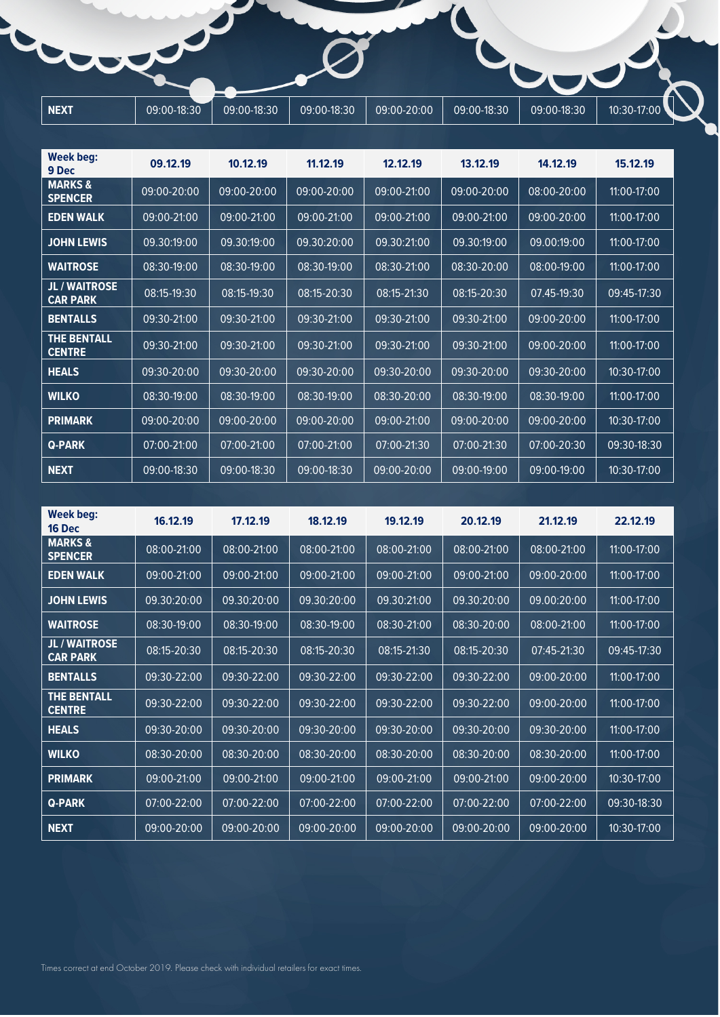| <b>NEXT</b> | 09:00-18:30 | 09:00-18:30 | 09:00-18:30 | 09:00-20:00 | 09:00-18:30 | 09:00-18:30 | 10:30-17:00 |
|-------------|-------------|-------------|-------------|-------------|-------------|-------------|-------------|

| <b>Week beg:</b><br>9 Dec               | 09.12.19    | 10.12.19    | 11.12.19    | 12.12.19        | 13.12.19    | 14.12.19        | 15.12.19    |
|-----------------------------------------|-------------|-------------|-------------|-----------------|-------------|-----------------|-------------|
| <b>MARKS &amp;</b><br><b>SPENCER</b>    | 09:00-20:00 | 09:00-20:00 | 09:00-20:00 | 09:00-21:00     | 09:00-20:00 | 08:00-20:00     | 11:00-17:00 |
| <b>EDEN WALK</b>                        | 09:00-21:00 | 09:00-21:00 | 09:00-21:00 | 09:00-21:00     | 09:00-21:00 | 09:00-20:00     | 11:00-17:00 |
| <b>JOHN LEWIS</b>                       | 09.30:19:00 | 09.30:19:00 | 09.30:20:00 | 09.30:21:00     | 09.30:19:00 | 09.00:19:00     | 11:00-17:00 |
| <b>WAITROSE</b>                         | 08:30-19:00 | 08:30-19:00 | 08:30-19:00 | 08:30-21:00     | 08:30-20:00 | 08:00-19:00     | 11:00-17:00 |
| <b>JL / WAITROSE</b><br><b>CAR PARK</b> | 08:15-19:30 | 08:15-19:30 | 08:15-20:30 | 08:15-21:30     | 08:15-20:30 | 07.45-19:30     | 09:45-17:30 |
| <b>BENTALLS</b>                         | 09:30-21:00 | 09:30-21:00 | 09:30-21:00 | $09:30 - 21:00$ | 09:30-21:00 | $09:00 - 20:00$ | 11:00-17:00 |
| <b>THE BENTALL</b><br><b>CENTRE</b>     | 09:30-21:00 | 09:30-21:00 | 09:30-21:00 | 09:30-21:00     | 09:30-21:00 | 09:00-20:00     | 11:00-17:00 |
| <b>HEALS</b>                            | 09:30-20:00 | 09:30-20:00 | 09:30-20:00 | 09:30-20:00     | 09:30-20:00 | 09:30-20:00     | 10:30-17:00 |
| <b>WILKO</b>                            | 08:30-19:00 | 08:30-19:00 | 08:30-19:00 | 08:30-20:00     | 08:30-19:00 | 08:30-19:00     | 11:00-17:00 |
| <b>PRIMARK</b>                          | 09:00-20:00 | 09:00-20:00 | 09:00-20:00 | 09:00-21:00     | 09:00-20:00 | 09:00-20:00     | 10:30-17:00 |
| <b>Q-PARK</b>                           | 07:00-21:00 | 07:00-21:00 | 07:00-21:00 | 07:00-21:30     | 07:00-21:30 | 07:00-20:30     | 09:30-18:30 |
| <b>NEXT</b>                             | 09:00-18:30 | 09:00-18:30 | 09:00-18:30 | 09:00-20:00     | 09:00-19:00 | 09:00-19:00     | 10:30-17:00 |

| Week beg:<br><b>16 Dec</b>              | 16.12.19    | 17.12.19        | 18.12.19        | 19.12.19    | 20.12.19    | 21.12.19    | 22.12.19        |
|-----------------------------------------|-------------|-----------------|-----------------|-------------|-------------|-------------|-----------------|
| <b>MARKS &amp;</b><br><b>SPENCER</b>    | 08:00-21:00 | 08:00-21:00     | 08:00-21:00     | 08:00-21:00 | 08:00-21:00 | 08:00-21:00 | 11:00-17:00     |
| <b>EDEN WALK</b>                        | 09:00-21:00 | 09:00-21:00     | 09:00-21:00     | 09:00-21:00 | 09:00-21:00 | 09:00-20:00 | 11:00-17:00     |
| <b>JOHN LEWIS</b>                       | 09.30:20:00 | 09.30:20:00     | 09.30:20:00     | 09.30:21:00 | 09.30:20:00 | 09.00:20:00 | 11:00-17:00     |
| <b>WAITROSE</b>                         | 08:30-19:00 | 08:30-19:00     | $08:30 - 19:00$ | 08:30-21:00 | 08:30-20:00 | 08:00-21:00 | $11:00-17:00$   |
| <b>JL / WAITROSE</b><br><b>CAR PARK</b> | 08:15-20:30 | 08:15-20:30     | 08:15-20:30     | 08:15-21:30 | 08:15-20:30 | 07:45-21:30 | 09:45-17:30     |
| <b>BENTALLS</b>                         | 09:30-22:00 | 09:30-22:00     | 09:30-22:00     | 09:30-22:00 | 09:30-22:00 | 09:00-20:00 | 11:00-17:00     |
| <b>THE BENTALL</b><br><b>CENTRE</b>     | 09:30-22:00 | 09:30-22:00     | 09:30-22:00     | 09:30-22:00 | 09:30-22:00 | 09:00-20:00 | 11:00-17:00     |
| <b>HEALS</b>                            | 09:30-20:00 | 09:30-20:00     | 09:30-20:00     | 09:30-20:00 | 09:30-20:00 | 09:30-20:00 | $11:00-17:00$   |
| <b>WILKO</b>                            | 08:30-20:00 | $08:30-20:00$   | 08:30-20:00     | 08:30-20:00 | 08:30-20:00 | 08:30-20:00 | 11:00-17:00     |
| <b>PRIMARK</b>                          | 09:00-21:00 | $09:00 - 21:00$ | 09:00-21:00     | 09:00-21:00 | 09:00-21:00 | 09:00-20:00 | $10:30 - 17:00$ |
| <b>Q-PARK</b>                           | 07:00-22:00 | 07:00-22:00     | 07:00-22:00     | 07:00-22:00 | 07:00-22:00 | 07:00-22:00 | 09:30-18:30     |
| <b>NEXT</b>                             | 09:00-20:00 | 09:00-20:00     | 09:00-20:00     | 09:00-20:00 | 09:00-20:00 | 09:00-20:00 | 10:30-17:00     |